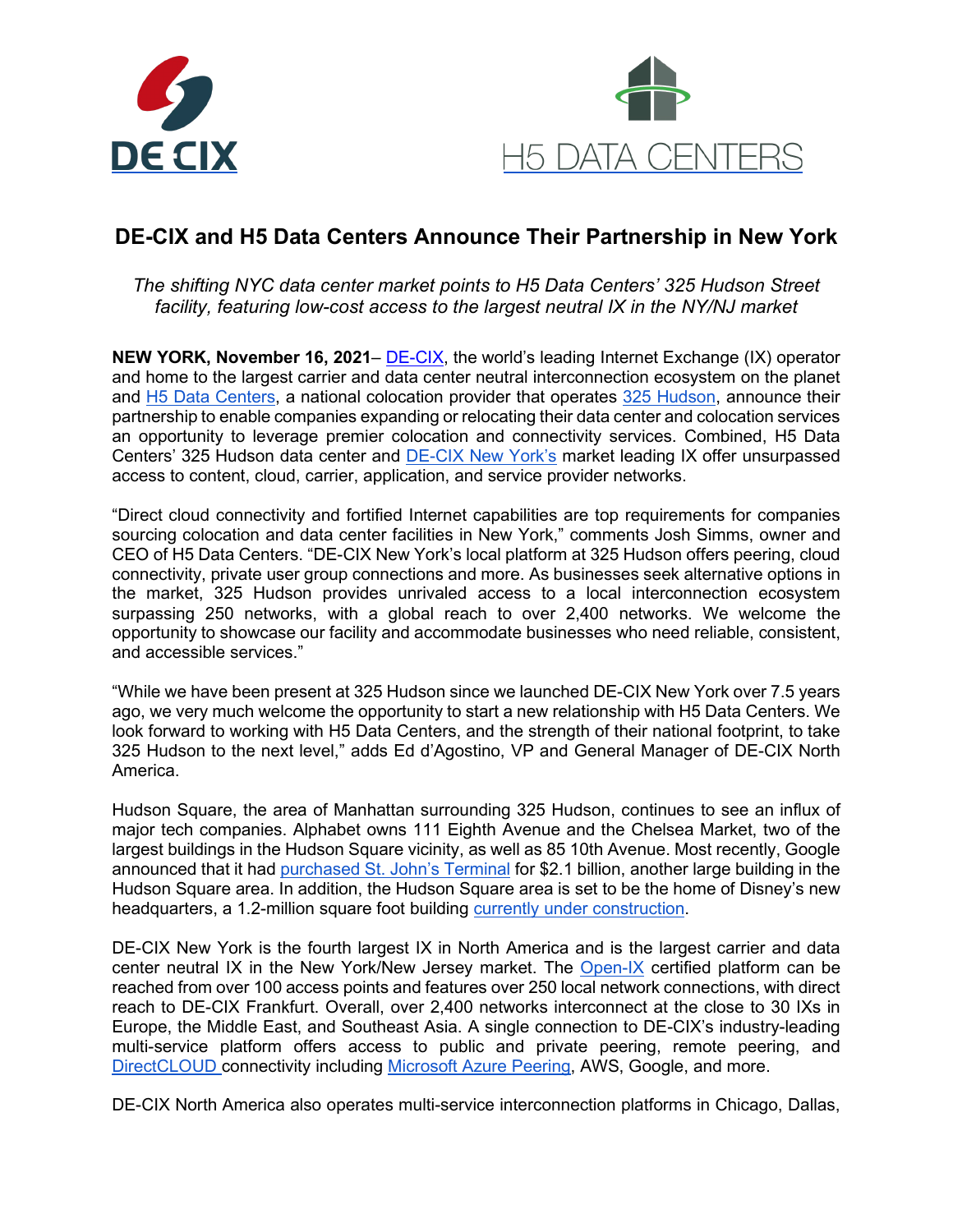



# **DE-CIX and H5 Data Centers Announce Their Partnership in New York**

*The shifting NYC data center market points to H5 Data Centers' 325 Hudson Street facility, featuring low-cost access to the largest neutral IX in the NY/NJ market*

**NEW YORK, November 16, 2021**– [DE-CIX,](https://www.globenewswire.com/Tracker?data=MIo_bfw65eXaMIG-dah0SCyh8te1SkxhxcaUO7ZKDaU9q6XZaasN4VurZAJu-j6M66_gB4gnR4mGdlAAQqt2Lg==) the world's leading Internet Exchange (IX) operator and home to the largest carrier and data center neutral interconnection ecosystem on the planet and [H5 Data Centers,](https://h5datacenters.com/) a national colocation provider that operates [325 Hudson,](https://h5datacenters.com/new-york-data-center.html) announce their partnership to enable companies expanding or relocating their data center and colocation services an opportunity to leverage premier colocation and connectivity services. Combined, H5 Data Centers' 325 Hudson data center and [DE-CIX New York's](https://de-cix.net/en/locations/new-york) market leading IX offer unsurpassed access to content, cloud, carrier, application, and service provider networks.

"Direct cloud connectivity and fortified Internet capabilities are top requirements for companies sourcing colocation and data center facilities in New York," comments Josh Simms, owner and CEO of H5 Data Centers. "DE-CIX New York's local platform at 325 Hudson offers peering, cloud connectivity, private user group connections and more. As businesses seek alternative options in the market, 325 Hudson provides unrivaled access to a local interconnection ecosystem surpassing 250 networks, with a global reach to over 2,400 networks. We welcome the opportunity to showcase our facility and accommodate businesses who need reliable, consistent, and accessible services."

"While we have been present at 325 Hudson since we launched DE-CIX New York over 7.5 years ago, we very much welcome the opportunity to start a new relationship with H5 Data Centers. We look forward to working with H5 Data Centers, and the strength of their national footprint, to take 325 Hudson to the next level," adds Ed d'Agostino, VP and General Manager of DE-CIX North America.

Hudson Square, the area of Manhattan surrounding 325 Hudson, continues to see an influx of major tech companies. Alphabet owns 111 Eighth Avenue and the Chelsea Market, two of the largest buildings in the Hudson Square vicinity, as well as 85 10th Avenue. Most recently, Google announced that it had [purchased St. John's Terminal](https://www.nytimes.com/2021/09/21/nyregion/google-buys-building-hudson-square.html) for \$2.1 billion, another large building in the Hudson Square area. In addition, the Hudson Square area is set to be the home of Disney's new headquarters, a 1.2-million square foot building [currently under construction.](https://newyorkyimby.com/2021/08/disney-headquarters-rises-above-street-level-at-four-hudson-square-in-hudson-square-manhattan.html)

DE-CIX New York is the fourth largest IX in North America and is the largest carrier and data center neutral IX in the New York/New Jersey market. The [Open-IX](https://open-ix.org/en/) certified platform can be reached from over 100 access points and features over 250 local network connections, with direct reach to DE-CIX Frankfurt. Overall, over 2,400 networks interconnect at the close to 30 IXs in Europe, the Middle East, and Southeast Asia. A single connection to DE-CIX's industry-leading multi-service platform offers access to public and private peering, remote peering, and [DirectCLOUD c](https://de-cix.net/en/services/directcloud)onnectivity including [Microsoft Azure Peering,](https://de-cix.net/en/services/microsoft-azure-peering-service) AWS, Google, and more.

DE-CIX North America also operates multi-service interconnection platforms in Chicago, Dallas,